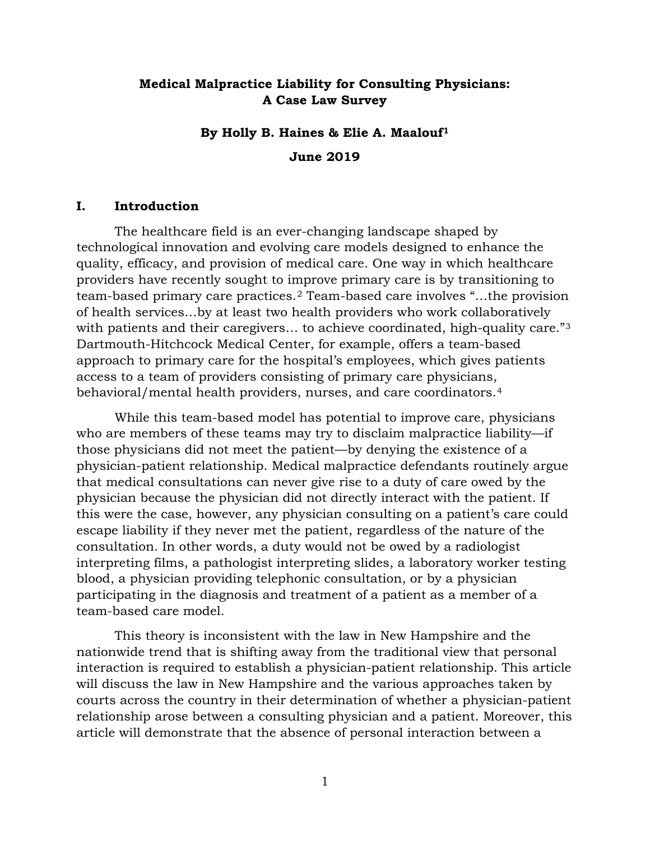## **Medical Malpractice Liability for Consulting Physicians: A Case Law Survey**

# **By Holly B. Haines & Elie A. Maalouf[1](#page-7-0) June 2019**

#### **I. Introduction**

The healthcare field is an ever-changing landscape shaped by technological innovation and evolving care models designed to enhance the quality, efficacy, and provision of medical care. One way in which healthcare providers have recently sought to improve primary care is by transitioning to team-based primary care practices.[2](#page-7-1) Team-based care involves "…the provision of health services…by at least two health providers who work collaboratively with patients and their caregivers... to achieve coordinated, high-quality care."<sup>[3](#page-7-2)</sup> Dartmouth-Hitchcock Medical Center, for example, offers a team-based approach to primary care for the hospital's employees, which gives patients access to a team of providers consisting of primary care physicians, behavioral/mental health providers, nurses, and care coordinators.[4](#page-7-3)

While this team-based model has potential to improve care, physicians who are members of these teams may try to disclaim malpractice liability—if those physicians did not meet the patient—by denying the existence of a physician-patient relationship. Medical malpractice defendants routinely argue that medical consultations can never give rise to a duty of care owed by the physician because the physician did not directly interact with the patient. If this were the case, however, any physician consulting on a patient's care could escape liability if they never met the patient, regardless of the nature of the consultation. In other words, a duty would not be owed by a radiologist interpreting films, a pathologist interpreting slides, a laboratory worker testing blood, a physician providing telephonic consultation, or by a physician participating in the diagnosis and treatment of a patient as a member of a team-based care model.

This theory is inconsistent with the law in New Hampshire and the nationwide trend that is shifting away from the traditional view that personal interaction is required to establish a physician-patient relationship. This article will discuss the law in New Hampshire and the various approaches taken by courts across the country in their determination of whether a physician-patient relationship arose between a consulting physician and a patient. Moreover, this article will demonstrate that the absence of personal interaction between a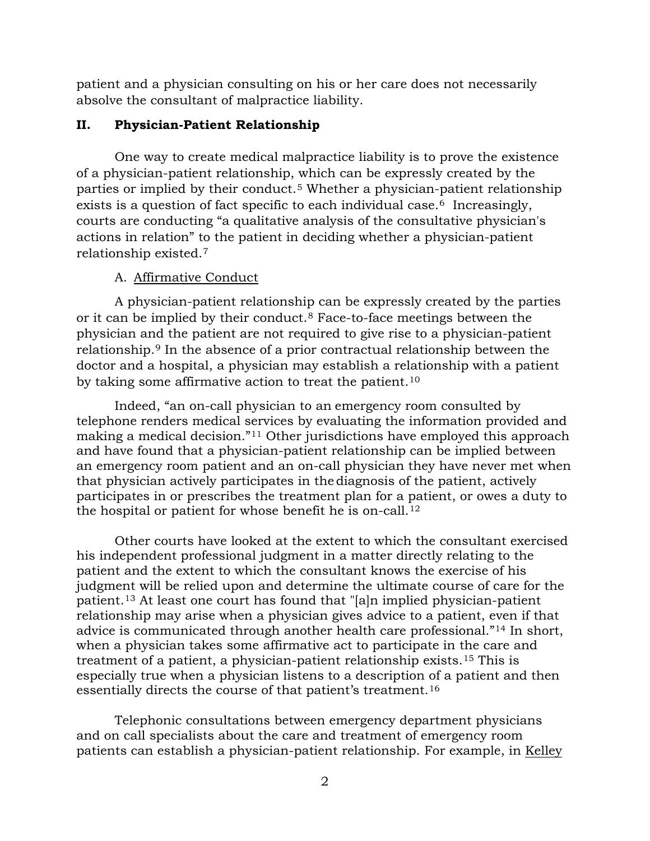patient and a physician consulting on his or her care does not necessarily absolve the consultant of malpractice liability.

## **II. Physician-Patient Relationship**

One way to create medical malpractice liability is to prove the existence of a physician-patient relationship, which can be expressly created by the parties or implied by their conduct.[5](#page-7-4) Whether a physician-patient relationship exists is a question of fact specific to each individual case.<sup>[6](#page-7-5)</sup> Increasingly, courts are conducting "a qualitative analysis of the consultative physician's actions in relation" to the patient in deciding whether a physician-patient relationship existed.[7](#page-7-6)

## A. Affirmative Conduct

A physician-patient relationship can be expressly created by the parties or it can be implied by their conduct.[8](#page-7-7) Face-to-face meetings between the physician and the patient are not required to give rise to a physician-patient relationship.[9](#page-7-8) In the absence of a prior contractual relationship between the doctor and a hospital, a physician may establish a relationship with a patient by taking some affirmative action to treat the patient.<sup>[10](#page-7-9)</sup>

Indeed, "an on-call physician to an emergency room consulted by telephone renders medical services by evaluating the information provided and making a medical decision."[11](#page-7-10) Other jurisdictions have employed this approach and have found that a physician-patient relationship can be implied between an emergency room patient and an on-call physician they have never met when that physician actively participates in the diagnosis of the patient, actively participates in or prescribes the treatment plan for a patient, or owes a duty to the hospital or patient for whose benefit he is on-call.[12](#page-7-11)

Other courts have looked at the extent to which the consultant exercised his independent professional judgment in a matter directly relating to the patient and the extent to which the consultant knows the exercise of his judgment will be relied upon and determine the ultimate course of care for the patient.[13](#page-7-12) At least one court has found that "[a]n implied physician-patient relationship may arise when a physician gives advice to a patient, even if that advice is communicated through another health care professional."[14](#page-7-13) In short, when a physician takes some affirmative act to participate in the care and treatment of a patient, a physician-patient relationship exists.[15](#page-7-14) This is especially true when a physician listens to a description of a patient and then essentially directs the course of that patient's treatment.[16](#page-7-15)

Telephonic consultations between emergency department physicians and on call specialists about the care and treatment of emergency room patients can establish a physician-patient relationship. For example, in Kelley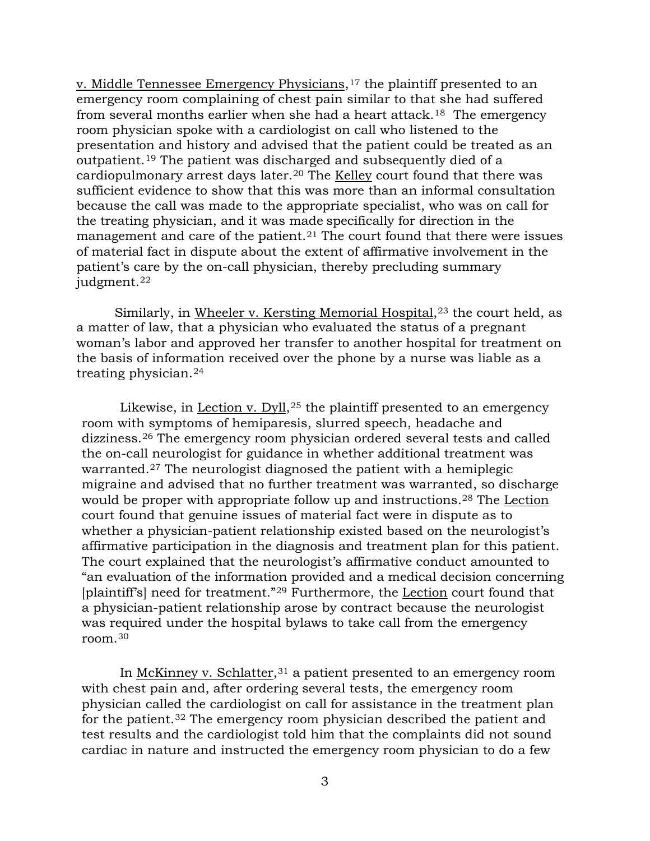v. Middle Tennessee Emergency Physicians,<sup>[17](#page-7-16)</sup> the plaintiff presented to an emergency room complaining of chest pain similar to that she had suffered from several months earlier when she had a heart attack.<sup>[18](#page-7-17)</sup> The emergency room physician spoke with a cardiologist on call who listened to the presentation and history and advised that the patient could be treated as an outpatient.[19](#page-7-18) The patient was discharged and subsequently died of a cardiopulmonary arrest days later.[20](#page-7-19) The Kelley court found that there was sufficient evidence to show that this was more than an informal consultation because the call was made to the appropriate specialist, who was on call for the treating physician, and it was made specifically for direction in the management and care of the patient.<sup>[21](#page-7-20)</sup> The court found that there were issues of material fact in dispute about the extent of affirmative involvement in the patient's care by the on-call physician, thereby precluding summary judgment.<sup>[22](#page-7-21)</sup>

Similarly, in Wheeler v. Kersting Memorial Hospital,<sup>[23](#page-7-22)</sup> the court held, as a matter of law, that a physician who evaluated the status of a pregnant woman's labor and approved her transfer to another hospital for treatment on the basis of information received over the phone by a nurse was liable as a treating physician.[24](#page-7-23)

Likewise, in Lection v.  $Dyll<sub>1</sub>,<sup>25</sup>$  $Dyll<sub>1</sub>,<sup>25</sup>$  $Dyll<sub>1</sub>,<sup>25</sup>$  the plaintiff presented to an emergency room with symptoms of hemiparesis, slurred speech, headache and dizziness.[26](#page-8-1) The emergency room physician ordered several tests and called the on-call neurologist for guidance in whether additional treatment was warranted.<sup>[27](#page-8-2)</sup> The neurologist diagnosed the patient with a hemiplegic migraine and advised that no further treatment was warranted, so discharge would be proper with appropriate follow up and instructions.<sup>[28](#page-8-3)</sup> The Lection court found that genuine issues of material fact were in dispute as to whether a physician-patient relationship existed based on the neurologist's affirmative participation in the diagnosis and treatment plan for this patient. The court explained that the neurologist's affirmative conduct amounted to "an evaluation of the information provided and a medical decision concerning [plaintiff's] need for treatment."<sup>[29](#page-8-4)</sup> Furthermore, the Lection court found that a physician-patient relationship arose by contract because the neurologist was required under the hospital bylaws to take call from the emergency room.[30](#page-8-5)

In McKinney v. Schlatter,  $31$  a patient presented to an emergency room with chest pain and, after ordering several tests, the emergency room physician called the cardiologist on call for assistance in the treatment plan for the patient.[32](#page-8-7) The emergency room physician described the patient and test results and the cardiologist told him that the complaints did not sound cardiac in nature and instructed the emergency room physician to do a few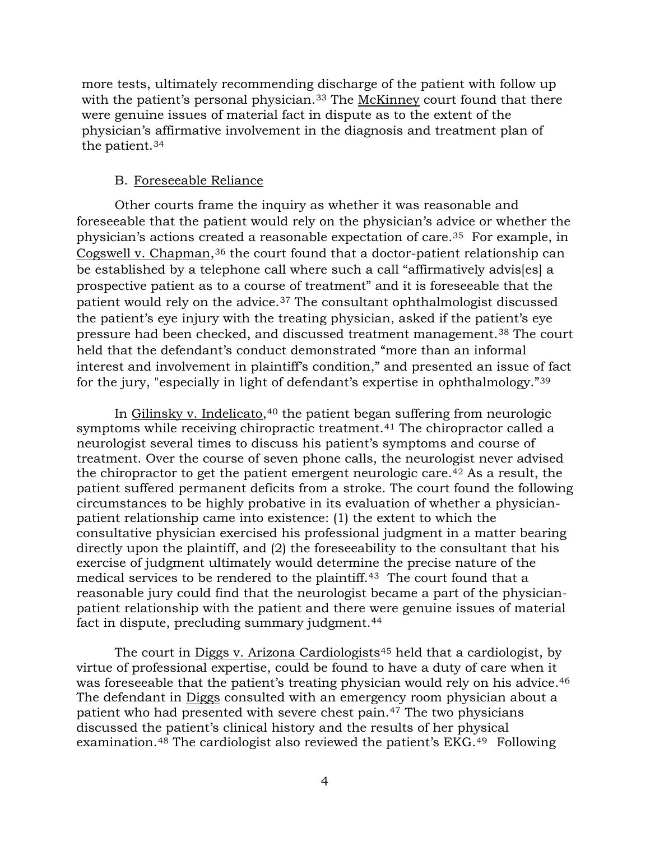more tests, ultimately recommending discharge of the patient with follow up with the patient's personal physician.<sup>[33](#page-8-8)</sup> The McKinney court found that there were genuine issues of material fact in dispute as to the extent of the physician's affirmative involvement in the diagnosis and treatment plan of the patient.[34](#page-8-9)

#### B. Foreseeable Reliance

Other courts frame the inquiry as whether it was reasonable and foreseeable that the patient would rely on the physician's advice or whether the physician's actions created a reasonable expectation of care.[35](#page-8-10) For example, in Cogswell v. Chapman,[36](#page-8-11) the court found that a doctor-patient relationship can be established by a telephone call where such a call "affirmatively advis[es] a prospective patient as to a course of treatment" and it is foreseeable that the patient would rely on the advice.[37](#page-8-12) The consultant ophthalmologist discussed the patient's eye injury with the treating physician, asked if the patient's eye pressure had been checked, and discussed treatment management.[38](#page-8-13) The court held that the defendant's conduct demonstrated "more than an informal interest and involvement in plaintiff's condition," and presented an issue of fact for the jury, "especially in light of defendant's expertise in ophthalmology."[39](#page-8-14)

In Gilinsky v. Indelicato,<sup>[40](#page-8-15)</sup> the patient began suffering from neurologic symptoms while receiving chiropractic treatment.<sup>[41](#page-8-16)</sup> The chiropractor called a neurologist several times to discuss his patient's symptoms and course of treatment. Over the course of seven phone calls, the neurologist never advised the chiropractor to get the patient emergent neurologic care.<sup>[42](#page-8-17)</sup> As a result, the patient suffered permanent deficits from a stroke. The court found the following circumstances to be highly probative in its evaluation of whether a physicianpatient relationship came into existence: (1) the extent to which the consultative physician exercised his professional judgment in a matter bearing directly upon the plaintiff, and (2) the foreseeability to the consultant that his exercise of judgment ultimately would determine the precise nature of the medical services to be rendered to the plaintiff.<sup>[43](#page-8-18)</sup> The court found that a reasonable jury could find that the neurologist became a part of the physicianpatient relationship with the patient and there were genuine issues of material fact in dispute, precluding summary judgment.<sup>[44](#page-8-19)</sup>

The court in Diggs v. Arizona Cardiologists<sup>[45](#page-8-20)</sup> held that a cardiologist, by virtue of professional expertise, could be found to have a duty of care when it was foreseeable that the patient's treating physician would rely on his advice.<sup>[46](#page-8-21)</sup> The defendant in Diggs consulted with an emergency room physician about a patient who had presented with severe chest pain.[47](#page-8-22) The two physicians discussed the patient's clinical history and the results of her physical examination.[48](#page-8-23) The cardiologist also reviewed the patient's EKG.[49](#page-8-24) Following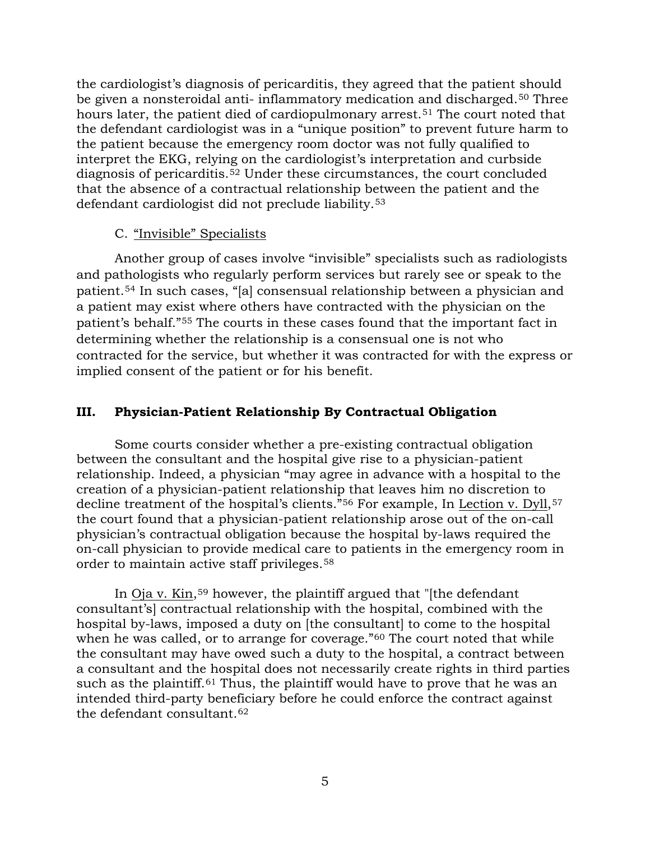the cardiologist's diagnosis of pericarditis, they agreed that the patient should be given a nonsteroidal anti- inflammatory medication and discharged.[50](#page-8-25) Three hours later, the patient died of cardiopulmonary arrest.<sup>[51](#page-8-26)</sup> The court noted that the defendant cardiologist was in a "unique position" to prevent future harm to the patient because the emergency room doctor was not fully qualified to interpret the EKG, relying on the cardiologist's interpretation and curbside diagnosis of pericarditis.[52](#page-8-27) Under these circumstances, the court concluded that the absence of a contractual relationship between the patient and the defendant cardiologist did not preclude liability.[53](#page-8-28)

## C. "Invisible" Specialists

Another group of cases involve "invisible" specialists such as radiologists and pathologists who regularly perform services but rarely see or speak to the patient.[54](#page-8-29) In such cases, "[a] consensual relationship between a physician and a patient may exist where others have contracted with the physician on the patient's behalf."[55](#page-8-30) The courts in these cases found that the important fact in determining whether the relationship is a consensual one is not who contracted for the service, but whether it was contracted for with the express or implied consent of the patient or for his benefit.

### **III. Physician-Patient Relationship By Contractual Obligation**

Some courts consider whether a pre-existing contractual obligation between the consultant and the hospital give rise to a physician-patient relationship. Indeed, a physician "may agree in advance with a hospital to the creation of a physician-patient relationship that leaves him no discretion to decline treatment of the hospital's clients."<sup>[56](#page-8-31)</sup> For example, In Lection v. Dyll,<sup>[57](#page-8-32)</sup> the court found that a physician-patient relationship arose out of the on-call physician's contractual obligation because the hospital by-laws required the on-call physician to provide medical care to patients in the emergency room in order to maintain active staff privileges.[58](#page-8-33)

In Oja v. Kin,[59](#page-8-34) however, the plaintiff argued that "[the defendant consultant's] contractual relationship with the hospital, combined with the hospital by-laws, imposed a duty on [the consultant] to come to the hospital when he was called, or to arrange for coverage."<sup>[60](#page-8-35)</sup> The court noted that while the consultant may have owed such a duty to the hospital, a contract between a consultant and the hospital does not necessarily create rights in third parties such as the plaintiff.<sup>[61](#page-8-36)</sup> Thus, the plaintiff would have to prove that he was an intended third-party beneficiary before he could enforce the contract against the defendant consultant.[62](#page-8-37)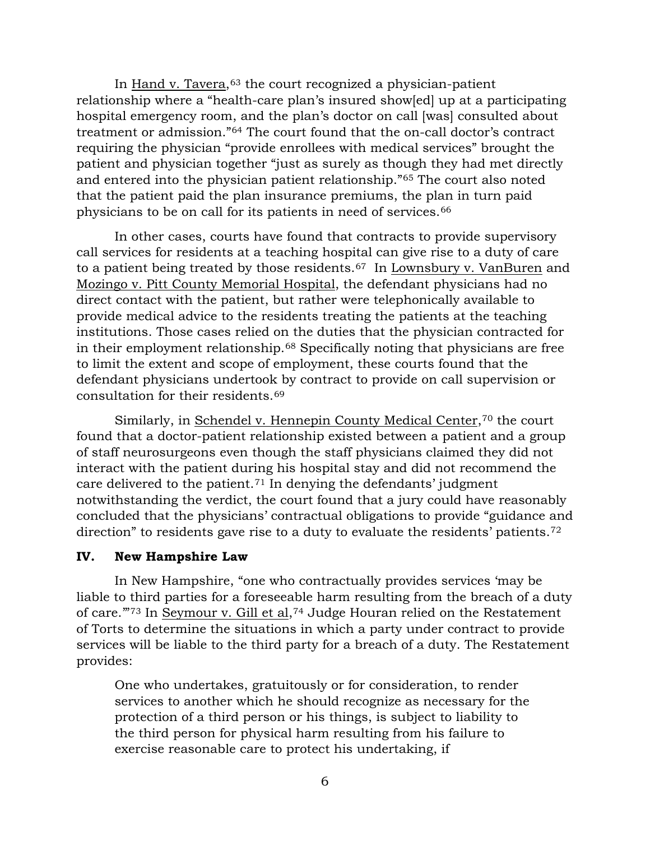In Hand v. Tavera, $63$  the court recognized a physician-patient relationship where a "health-care plan's insured show[ed] up at a participating hospital emergency room, and the plan's doctor on call [was] consulted about treatment or admission."[64](#page-8-39) The court found that the on-call doctor's contract requiring the physician "provide enrollees with medical services" brought the patient and physician together "just as surely as though they had met directly and entered into the physician patient relationship."[65](#page-8-40) The court also noted that the patient paid the plan insurance premiums, the plan in turn paid physicians to be on call for its patients in need of services.[66](#page-8-41)

In other cases, courts have found that contracts to provide supervisory call services for residents at a teaching hospital can give rise to a duty of care to a patient being treated by those residents.[67](#page-8-42) In Lownsbury v. VanBuren and Mozingo v. Pitt County Memorial Hospital, the defendant physicians had no direct contact with the patient, but rather were telephonically available to provide medical advice to the residents treating the patients at the teaching institutions. Those cases relied on the duties that the physician contracted for in their employment relationship.[68](#page-8-43) Specifically noting that physicians are free to limit the extent and scope of employment, these courts found that the defendant physicians undertook by contract to provide on call supervision or consultation for their residents.[69](#page-8-44)

Similarly, in Schendel v. Hennepin County Medical Center,<sup>[70](#page-8-45)</sup> the court found that a doctor-patient relationship existed between a patient and a group of staff neurosurgeons even though the staff physicians claimed they did not interact with the patient during his hospital stay and did not recommend the care delivered to the patient.[71](#page-8-46) In denying the defendants' judgment notwithstanding the verdict, the court found that a jury could have reasonably concluded that the physicians' contractual obligations to provide "guidance and direction" to residents gave rise to a duty to evaluate the residents' patients.<sup>[72](#page-8-47)</sup>

#### **IV. New Hampshire Law**

In New Hampshire, "one who contractually provides services 'may be liable to third parties for a foreseeable harm resulting from the breach of a duty of care.'"[73](#page-9-0) In Seymour v. Gill et al,[74](#page-9-1) Judge Houran relied on the Restatement of Torts to determine the situations in which a party under contract to provide services will be liable to the third party for a breach of a duty. The Restatement provides:

One who undertakes, gratuitously or for consideration, to render services to another which he should recognize as necessary for the protection of a third person or his things, is subject to liability to the third person for physical harm resulting from his failure to exercise reasonable care to protect his undertaking, if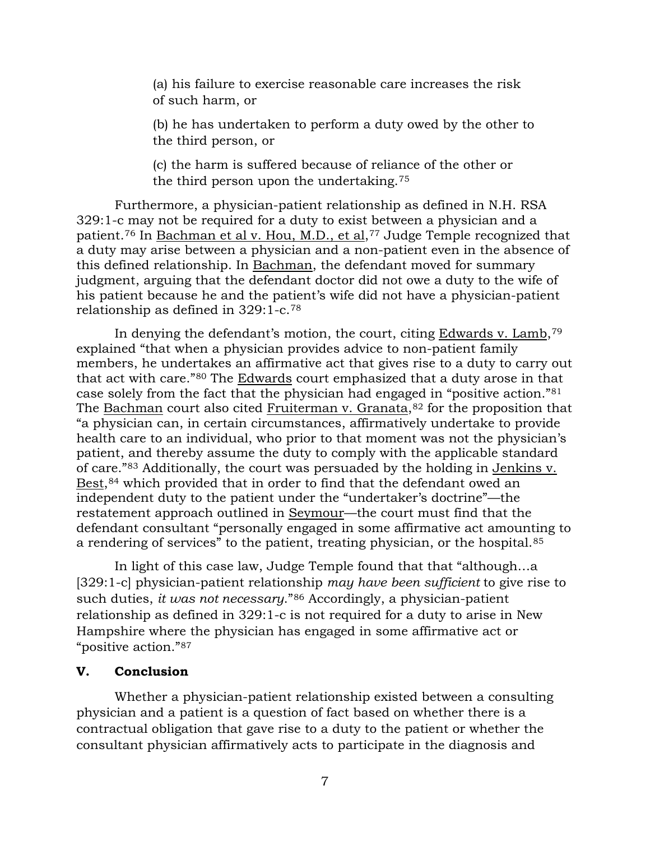(a) his failure to exercise reasonable care increases the risk of such harm, or

(b) he has undertaken to perform a duty owed by the other to the third person, or

(c) the harm is suffered because of reliance of the other or the third person upon the undertaking.[75](#page-9-2)

Furthermore, a physician-patient relationship as defined in N.H. RSA 329:1-c may not be required for a duty to exist between a physician and a patient.<sup>[76](#page-9-3)</sup> In Bachman et al v. Hou, M.D., et al,<sup>[77](#page-9-4)</sup> Judge Temple recognized that a duty may arise between a physician and a non-patient even in the absence of this defined relationship. In Bachman, the defendant moved for summary judgment, arguing that the defendant doctor did not owe a duty to the wife of his patient because he and the patient's wife did not have a physician-patient relationship as defined in 329:1-c.[78](#page-9-5)

In denying the defendant's motion, the court, citing Edwards v. Lamb,  $79$ explained "that when a physician provides advice to non-patient family members, he undertakes an affirmative act that gives rise to a duty to carry out that act with care."[80](#page-9-7) The Edwards court emphasized that a duty arose in that case solely from the fact that the physician had engaged in "positive action."[81](#page-9-8) The Bachman court also cited Fruiterman v. Granata, $82$  for the proposition that "a physician can, in certain circumstances, affirmatively undertake to provide health care to an individual, who prior to that moment was not the physician's patient, and thereby assume the duty to comply with the applicable standard of care."[83](#page-9-10) Additionally, the court was persuaded by the holding in Jenkins v. Best,<sup>[84](#page-9-11)</sup> which provided that in order to find that the defendant owed an independent duty to the patient under the "undertaker's doctrine"—the restatement approach outlined in Seymour—the court must find that the defendant consultant "personally engaged in some affirmative act amounting to a rendering of services" to the patient, treating physician, or the hospital.<sup>[85](#page-9-12)</sup>

In light of this case law, Judge Temple found that that "although…a [329:1-c] physician-patient relationship *may have been sufficient* to give rise to such duties, *it was not necessary*."[86](#page-9-13) Accordingly, a physician-patient relationship as defined in 329:1-c is not required for a duty to arise in New Hampshire where the physician has engaged in some affirmative act or "positive action."[87](#page-9-14)

### **V. Conclusion**

Whether a physician-patient relationship existed between a consulting physician and a patient is a question of fact based on whether there is a contractual obligation that gave rise to a duty to the patient or whether the consultant physician affirmatively acts to participate in the diagnosis and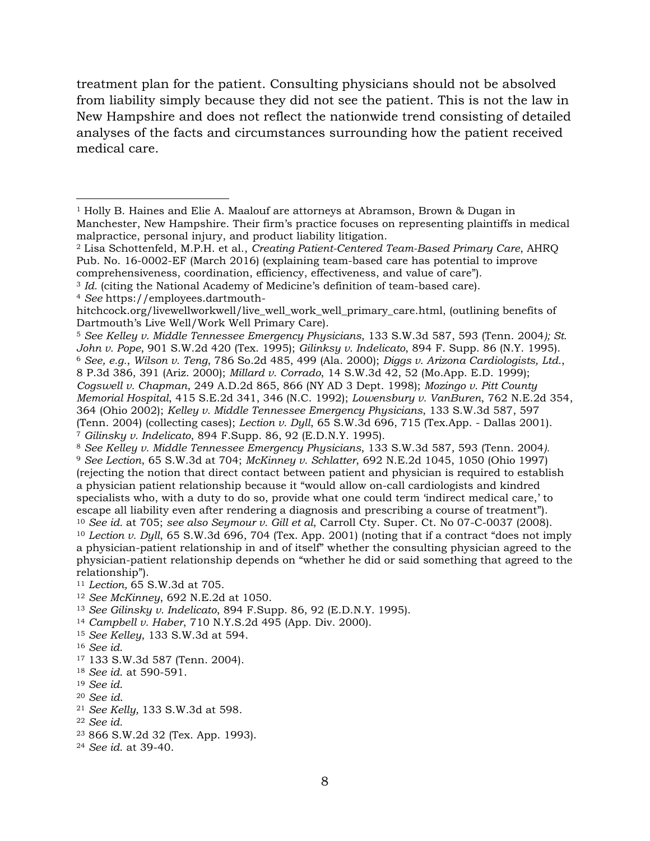treatment plan for the patient. Consulting physicians should not be absolved from liability simply because they did not see the patient. This is not the law in New Hampshire and does not reflect the nationwide trend consisting of detailed analyses of the facts and circumstances surrounding how the patient received medical care.

<span id="page-7-5"></span><span id="page-7-4"></span><sup>5</sup> *See Kelley v. Middle Tennessee Emergency Physicians*, 133 S.W.3d 587, 593 (Tenn. 2004*); St. John v. Pope*, 901 S.W.2d 420 (Tex. 1995); *Gilinksy v. Indelicato*, 894 F. Supp. 86 (N.Y. 1995). <sup>6</sup> *See, e.g.*, *Wilson v. Teng*, 786 So.2d 485, 499 (Ala. 2000); *Diggs v. Arizona Cardiologists, Ltd.*, 8 P.3d 386, 391 (Ariz. 2000); *Millard v. Corrado*, 14 S.W.3d 42, 52 (Mo.App. E.D. 1999); *Cogswell v. Chapman*, 249 A.D.2d 865, 866 (NY AD 3 Dept. 1998); *Mozingo v. Pitt County Memorial Hospital*, 415 S.E.2d 341, 346 (N.C. 1992); *Lowensbury v. VanBuren*, 762 N.E.2d 354, 364 (Ohio 2002); *Kelley v. Middle Tennessee Emergency Physicians*, 133 S.W.3d 587, 597 (Tenn. 2004) (collecting cases); *Lection v. Dyll*, 65 S.W.3d 696, 715 (Tex.App. - Dallas 2001). <sup>7</sup> *Gilinsky v. Indelicato*, 894 F.Supp. 86, 92 (E.D.N.Y. 1995).

<span id="page-7-10"></span><span id="page-7-9"></span><sup>11</sup> *Lection,* 65 S.W.3d at 705.

- <span id="page-7-11"></span><sup>12</sup> *See McKinney*, 692 N.E.2d at 1050.
- <span id="page-7-12"></span><sup>13</sup> *See Gilinsky v. Indelicato*, 894 F.Supp. 86, 92 (E.D.N.Y. 1995).
- <span id="page-7-13"></span><sup>14</sup> *Campbell v. Haber*, 710 N.Y.S.2d 495 (App. Div. 2000).
- <span id="page-7-14"></span><sup>15</sup> *See Kelley*, 133 S.W.3d at 594.
- <span id="page-7-15"></span><sup>16</sup> *See id*.
- <span id="page-7-16"></span><sup>17</sup> 133 S.W.3d 587 (Tenn. 2004).
- <span id="page-7-17"></span><sup>18</sup> *See id*. at 590-591.
- <span id="page-7-18"></span><sup>19</sup> *See id*.
- <span id="page-7-19"></span><sup>20</sup> *See id*.
- <span id="page-7-20"></span><sup>21</sup> *See Kelly,* 133 S.W.3d at 598.
- <span id="page-7-21"></span><sup>22</sup> *See id.*
- <span id="page-7-22"></span><sup>23</sup> 866 S.W.2d 32 (Tex. App. 1993).
- <span id="page-7-23"></span><sup>24</sup> *See id*. at 39-40.

<span id="page-7-0"></span><sup>1</sup> Holly B. Haines and Elie A. Maalouf are attorneys at Abramson, Brown & Dugan in Manchester, New Hampshire. Their firm's practice focuses on representing plaintiffs in medical malpractice, personal injury, and product liability litigation.

<span id="page-7-1"></span><sup>2</sup> Lisa Schottenfeld, M.P.H. et al., *Creating Patient-Centered Team-Based Primary Care*, AHRQ Pub. No. 16-0002-EF (March 2016) (explaining team-based care has potential to improve

comprehensiveness, coordination, efficiency, effectiveness, and value of care").

<span id="page-7-2"></span><sup>&</sup>lt;sup>3</sup> *Id.* (citing the National Academy of Medicine's definition of team-based care).

<span id="page-7-3"></span><sup>4</sup> *See* https://employees.dartmouth-

hitchcock.org/livewellworkwell/live\_well\_work\_well\_primary\_care.html, (outlining benefits of Dartmouth's Live Well/Work Well Primary Care).

<span id="page-7-8"></span><span id="page-7-7"></span><span id="page-7-6"></span><sup>8</sup> *See Kelley v. Middle Tennessee Emergency Physicians*, 133 S.W.3d 587, 593 (Tenn. 2004*).* <sup>9</sup> *See Lection*, 65 S.W.3d at 704; *McKinney v. Schlatter*, 692 N.E.2d 1045, 1050 (Ohio 1997) (rejecting the notion that direct contact between patient and physician is required to establish a physician patient relationship because it "would allow on-call cardiologists and kindred specialists who, with a duty to do so, provide what one could term 'indirect medical care,' to escape all liability even after rendering a diagnosis and prescribing a course of treatment"). <sup>10</sup> *See id.* at 705; *see also Seymour v. Gill et al*, Carroll Cty. Super. Ct. No 07-C-0037 (2008). <sup>10</sup> *Lection v. Dyll*, 65 S.W.3d 696, 704 (Tex. App. 2001) (noting that if a contract "does not imply a physician-patient relationship in and of itself" whether the consulting physician agreed to the physician-patient relationship depends on "whether he did or said something that agreed to the relationship").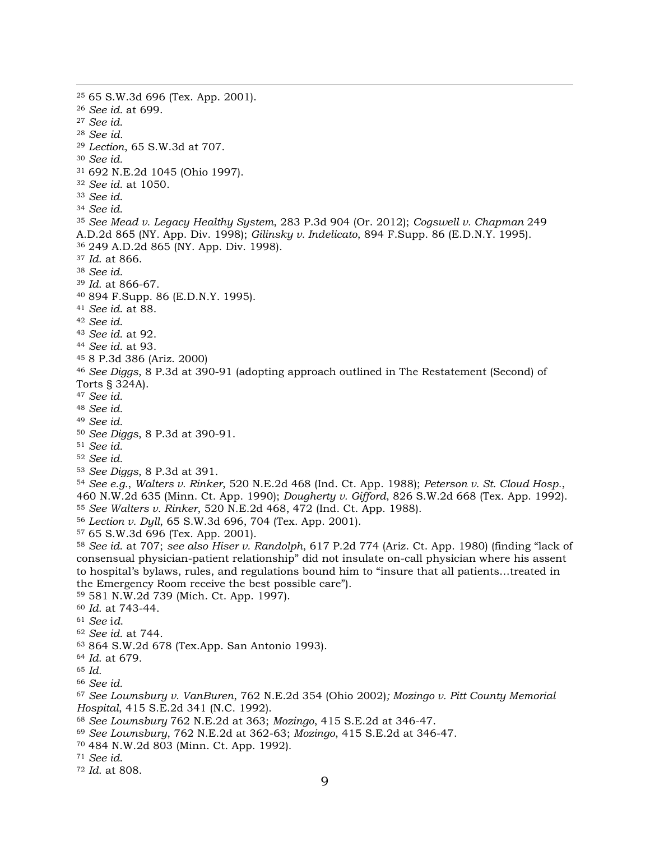<span id="page-8-30"></span><span id="page-8-29"></span><span id="page-8-28"></span><span id="page-8-27"></span><span id="page-8-26"></span><span id="page-8-25"></span><span id="page-8-24"></span><span id="page-8-23"></span><span id="page-8-22"></span><span id="page-8-21"></span><span id="page-8-20"></span><span id="page-8-19"></span><span id="page-8-18"></span><span id="page-8-17"></span><span id="page-8-16"></span><span id="page-8-15"></span><span id="page-8-14"></span><span id="page-8-13"></span><span id="page-8-12"></span><span id="page-8-11"></span><span id="page-8-10"></span><span id="page-8-9"></span><span id="page-8-8"></span><span id="page-8-7"></span><span id="page-8-6"></span><span id="page-8-5"></span><span id="page-8-4"></span><span id="page-8-3"></span><span id="page-8-2"></span><span id="page-8-1"></span><span id="page-8-0"></span> 65 S.W.3d 696 (Tex. App. 2001). *See id.* at 699. *See id*. *See id. Lection*, 65 S.W.3d at 707. *See id.*  692 N.E.2d 1045 (Ohio 1997). *See id*. at 1050. *See id*. *See id*. *See Mead v. Legacy Healthy System*, 283 P.3d 904 (Or. 2012); *Cogswell v. Chapman* 249 A.D.2d 865 (NY. App. Div. 1998); *Gilinsky v. Indelicato*, 894 F.Supp. 86 (E.D.N.Y. 1995). 249 A.D.2d 865 (NY. App. Div. 1998). *Id*. at 866. *See id. Id*. at 866-67. 894 F.Supp. 86 (E.D.N.Y. 1995). *See id*. at 88. *See id*. *See id*. at 92. *See id*. at 93. 8 P.3d 386 (Ariz. 2000) *See Diggs*, 8 P.3d at 390-91 (adopting approach outlined in The Restatement (Second) of Torts § 324A). *See id. See id. See id. See Diggs*, 8 P.3d at 390-91. *See id. See id. See Diggs*, 8 P.3d at 391. *See e.g.*, *Walters v. Rinker*, 520 N.E.2d 468 (Ind. Ct. App. 1988); *Peterson v. St. Cloud Hosp.*, 460 N.W.2d 635 (Minn. Ct. App. 1990); *Dougherty v. Gifford*, 826 S.W.2d 668 (Tex. App. 1992). *See Walters v. Rinker*, 520 N.E.2d 468, 472 (Ind. Ct. App. 1988). *Lection v. Dyll*, 65 S.W.3d 696, 704 (Tex. App. 2001). 65 S.W.3d 696 (Tex. App. 2001). *See id*. at 707; *see also Hiser v. Randolph*, 617 P.2d 774 (Ariz. Ct. App. 1980) (finding "lack of consensual physician-patient relationship" did not insulate on-call physician where his assent to hospital's bylaws, rules, and regulations bound him to "insure that all patients…treated in the Emergency Room receive the best possible care"). 581 N.W.2d 739 (Mich. Ct. App. 1997). *Id*. at 743-44. *See* i*d*. *See id*. at 744. 864 S.W.2d 678 (Tex.App. San Antonio 1993). *Id*. at 679. *Id. See id. See Lownsbury v. VanBuren*, 762 N.E.2d 354 (Ohio 2002)*; Mozingo v. Pitt County Memorial Hospital*, 415 S.E.2d 341 (N.C. 1992). *See Lownsbury* 762 N.E.2d at 363; *Mozingo*, 415 S.E.2d at 346-47. *See Lownsbury*, 762 N.E.2d at 362-63; *Mozingo*, 415 S.E.2d at 346-47. 484 N.W.2d 803 (Minn. Ct. App. 1992). *See id*. *Id*. at 808.

<span id="page-8-47"></span><span id="page-8-46"></span><span id="page-8-45"></span><span id="page-8-44"></span><span id="page-8-43"></span><span id="page-8-42"></span><span id="page-8-41"></span><span id="page-8-40"></span><span id="page-8-39"></span><span id="page-8-38"></span><span id="page-8-37"></span><span id="page-8-36"></span><span id="page-8-35"></span><span id="page-8-34"></span><span id="page-8-33"></span><span id="page-8-32"></span><span id="page-8-31"></span>